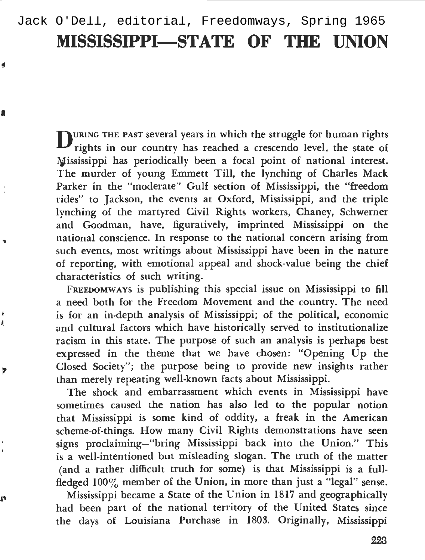## **MISSISSIPPI-STATE OF THE UNION** Jack O'Dell, editorial, Freedomways, Spring 1965

à

Á

y

۵

DURING THE PAST several years in which the struggle for human rights rights in our country has reached a crescendo level, the state of Mississippi has periodically been a focal point of national interest. The murder of young Emmett Till, the lynching of Charles Mack Parker in the "moderate" Gulf section of Mississippi, the "freedom rides" to Jackson, the events at Oxford, Mississippi, and the triple lynching of the martyred Civil Rights workers, Chaney, Schwerner and Goodman, have, figuratively, imprinted Mississippi on the national conscience. In response to the national concern arising from such events, most writings about Mississippi have been in the nature of reporting, with emotional appeal and shock-value being the chief characteristics of such writing.

FREEDOMWAYS is publishing this special issue on Mississippi to fill a need both for the Freedom Movement and the country. The need is for an in-depth analysis of Mississippi; of the political, economic and cultural factors which have historically served to institutionalize racism in this state. The purpose of such an analysis is perhaps best expressed in the theme that we have chosen: "Opening Up the Closed Society"; the purpose being to provide new insights rather than merely repeating well-known facts about Mississippi.

The shock and embarrassment which events in Mississippi have sometimes caused the nation has also led to the popular notion that Mississippi is some kind of oddity, a freak in the American scheme-of-things. How many Civil Rights demonstrations have seen signs proclaiming-"bring Mississippi back into the Union." This is a well-intentioned but misleading slogan. The truth of the matter (and a rather difficult truth for some) is that Mississippi is a fullfledged 100% member of the Union, in more than just a "legal" sense.

Mississippi became a State of the Union in 1817 and geographically had been part of the national territory of the United States since the days of Louisiana Purchase in 1803. Originally, Mississippi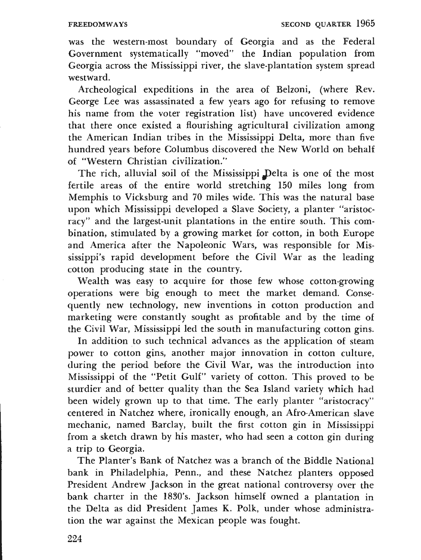was the western-most boundary of Georgia and as the Federal Government systematically "moved" the Indian population from Georgia across the Mississippi river, the slave-plantation system spread westward.

Archeological expeditions in the area of Belzoni, (where Rev. George Lee was assassinated a few years ago for refusing to remove his name from the voter registration list) have uncovered evidence that there once existed a flourishing agricultural civilization among the American Indian tribes in the Mississippi Delta, more than five hundred years before Columbus discovered the New World on behalf of "Western Christian civilization."

The rich, alluvial soil of the Mississippi Delta is one of the most fertile areas of the entire world stretching 150 miles long from Memphis to Vicksburg and 70 miles wide. This was the natural base upon which Mississippi developed a Slave Society, a planter "aristocracy" and the largest-unit plantations in the entire south. This combination, stimulated by a growing market for cotton, in both Europe and America after the Napoleonic Wars, was responsible for Mississippi's rapid development before the Civil War as the leading cotton producing state in the country.

Wealth was easy to acquire for those few whose cotton-growing operations were big enough to meet the market demand. Consequently new technology, new inventions in cotton production and marketing were constantly sought as profitable and by the time of the Civil War, Mississippi led the south in manufacturing cotton gins.

In addition to such technical advances as the application of steam power to cotton gins, another major innovation in cotton culture, during the period before the Civil War, was the introduction into Mississippi of the "Petit Gulf" variety of cotton. This proved to be sturdier and of better quality than the Sea Island variety which had been widely grown up to that time. The early planter "aristocracy" centered in Natchez where, ironically enough, an Afro-American slave mechanic, named Barclay, built the first cotton gin in Mississippi from a sketch drawn by his master, who had seen a cotton gin during a trip to Georgia.

The Planter's Bank of Natchez was a branch of the Biddle National bank in Philadelphia, Penn., and these Natchez planters opposed President Andrew Jackson in the great national controversy over the bank charter in the 1830's. Jackson himself owned a plantation in the Delta as did President James K. Polk, under whose administration the war against the Mexican people was fought.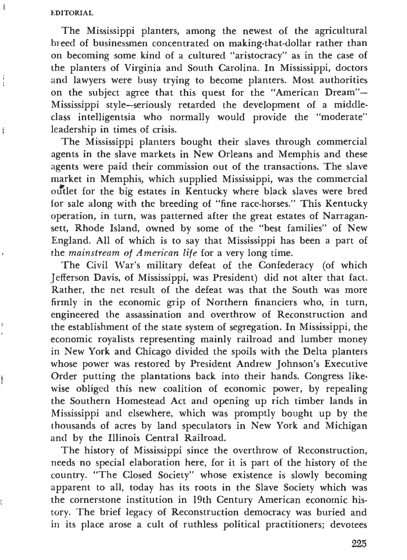## l:DITORIAL

ł

i

The Mississippi planters, among the newest of the agricultural breed of businessmen concentrated on making-that-dollar rather than on becoming some kind of a cultured "aristocracy" as in the case of the planters of Virginia and South Carolina. In Mississippi, doctors and lawyers were busy trying to become planters. Most authorities on the subject agree that this quest for the "American Dream"-Mississippi style-seriously retarded the development of a middleclass intelligentsia who normally would provide the "moderate" leadership in times of crisis.

The Mississippi planters bought their slaves through commercial agents in the slave markets in New Orleans and Memphis and these agents were paid their commission out of the transactions. The slave market in Memphis, which supplied Mississippi, was the commercial outlet for the big estates in Kentucky where black slaves were bred for sale along with the breeding of "fine race-horses." This Kentucky operation, in turn, was patterned after the great estates of Narragansett, Rhode Island, owned by some of the "best families" of New England. All of which is to say that Mississippi has been a part of the *mainstream of American life* for a very long time.

The Civil War's military defeat of the Confederacy (of which .Jefferson Davis, of Mississippi, was President) did not alter that fact. Rather, the net result of the defeat was that the South was more firmly in the economic grip of Northern financiers who, in turn, engineered the assassination and overthrow of Reconstruction and the establishment of the state system of segregation. In Mississippi, the economic royalists representing mainly railroad and lumber money in New York and Chicago divided the spoils with the Delta planters whose power was restored by President Andrew Johnson's Executive Order putting the plantations back into their hands. Congress likewise obliged this new coalition of economic power, by repealing the Southern Homestead Act and opening up rich timber lands in Mississippi and elsewhere, which was promptly bought up by the thousands of acres by land speculators in New York and Michigan and by the Illinois Central Railroad.

The history of Mississippi since the overthrow of Reconstruction, needs no special elaboration here, for it is part of the history of the country. "The Closed Society" whose existence is slowly becoming apparent to all, today has its roots in the Slave Society which was the cornerstone institution in 19th Century American economic history. The brief legacy of Reconstruction democracy was buried and in its place arose a cult of ruthless political practitioners; devotees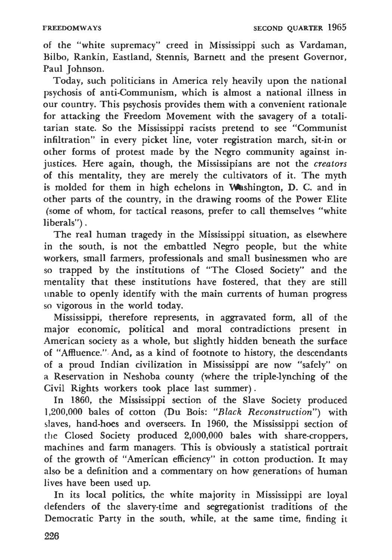of the "white supremacy" creed in Mississippi such as Vardaman, Bilbo, Rankin, Eastland, Stennis, Barnett and the present Governor, Paul Johnson.

Today, such politicians in America rely heavily upon the national psychosis of anti-Communism, which is almost a national illness in our country. This psychosis provides them with a convenient rationale for attacking the Freedom Movement with the savagery of a totalitarian state. So the Mississippi racists pretend to see "Communist infiltration" in every picket line, voter registration march, sit-in or other forms of protest made by the Negro community against injustices. Here again, though, the Mississipians are not the *creators*  of this mentality, they are merely the cultivators of it. The myth is molded for them in high echelons in Washington, D. C. and in other parts of the country, in the drawing rooms of the Power Elite (some of whom, for tactical reasons, prefer to call themselves "white liberals").

The real human tragedy in the Mississippi situation, as elsewhere in the south, is not the embattled Negro people, but the white workers, small farmers, professionals and small businessmen who are so trapped by the institutions of "The Closed Society" and the mentality that these institutions have fostered, that they are still unable to openly identify with the main currents of human progress so vigorous in the world today.

Mississippi, therefore represents, in aggravated form, all of the major economic, political and moral contradictions present in American society as a whole, but slightly hidden beneath the surface of "Affluence.". And, as a kind of footnote to history, the descendants of a proud Indian civilization in Mississippi are now "safely" on a Reservation in Neshoba county (where the triple-lynching of the Civil Rights workers took place last summer) .

In 1860, the Mississippi section of the Slave Society produced 1,200,000 bales of cotton (Du Bois: *"Black Reconstruction" )* with slaves, hand-hoes and overseers. In 1960, the Mississippi section of the Closed Society produced 2,000,000 bales with share-croppers, machines and farm managers. This is obviously a statistical portrait of the growth of "American efficiency" in cotton production. It may also be a definition and a commentary on how generations of human lives have been used up.

In its local politics, the white majority in Mississippi are loyal defenders of the slavery-time and segregationist traditions of the Democratic Party in the south, while, at the same time, finding it